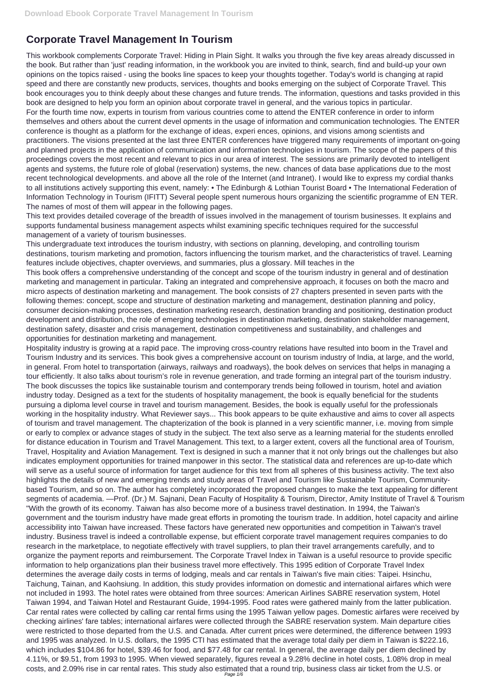# **Corporate Travel Management In Tourism**

This workbook complements Corporate Travel: Hiding in Plain Sight. It walks you through the five key areas already discussed in the book. But rather than 'just' reading information, in the workbook you are invited to think, search, find and build-up your own opinions on the topics raised - using the books line spaces to keep your thoughts together. Today's world is changing at rapid speed and there are constantly new products, services, thoughts and books emerging on the subject of Corporate Travel. This book encourages you to think deeply about these changes and future trends. The information, questions and tasks provided in this book are designed to help you form an opinion about corporate travel in general, and the various topics in particular. For the fourth time now, experts in tourism from various countries come to attend the ENTER conference in order to inform themselves and others about the current devel opments in the usage of information and communication technologies. The ENTER conference is thought as a platform for the exchange of ideas, experi ences, opinions, and visions among scientists and practitioners. The visions presented at the last three ENTER conferences have triggered many requirements of important on-going and planned projects in the application of communication and information technologies in tourism. The scope of the papers of this proceedings covers the most recent and relevant to pics in our area of interest. The sessions are primarily devoted to intelligent agents and systems, the future role of global (reservation) systems, the new. chances of data base applications due to the most recent technological developments. and above all the role of the Internet (and Intranet). I would like to express my cordial thanks to all institutions actively supporting this event, namely: • The Edinburgh & Lothian Tourist Board • The International Federation of Information Technology in Tourism (IFITT) Several people spent numerous hours organizing the scientific programme of EN TER. The names of most of them will appear in the following pages.

This text provides detailed coverage of the breadth of issues involved in the management of tourism businesses. It explains and supports fundamental business management aspects whilst examining specific techniques required for the successful management of a variety of tourism businesses.

This undergraduate text introduces the tourism industry, with sections on planning, developing, and controlling tourism destinations, tourism marketing and promotion, factors influencing the tourism market, and the characteristics of travel. Learning features include objectives, chapter overviews, and summaries, plus a glossary. Mill teaches in the

This book offers a comprehensive understanding of the concept and scope of the tourism industry in general and of destination marketing and management in particular. Taking an integrated and comprehensive approach, it focuses on both the macro and micro aspects of destination marketing and management. The book consists of 27 chapters presented in seven parts with the following themes: concept, scope and structure of destination marketing and management, destination planning and policy, consumer decision-making processes, destination marketing research, destination branding and positioning, destination product development and distribution, the role of emerging technologies in destination marketing, destination stakeholder management, destination safety, disaster and crisis management, destination competitiveness and sustainability, and challenges and opportunities for destination marketing and management.

Hospitality industry is growing at a rapid pace. The improving cross-country relations have resulted into boom in the Travel and Tourism Industry and its services. This book gives a comprehensive account on tourism industry of India, at large, and the world, in general. From hotel to transportation (airways, railways and roadways), the book delves on services that helps in managing a tour efficiently. It also talks about tourism's role in revenue generation, and trade forming an integral part of the tourism industry. The book discusses the topics like sustainable tourism and contemporary trends being followed in tourism, hotel and aviation industry today. Designed as a text for the students of hospitality management, the book is equally beneficial for the students pursuing a diploma level course in travel and tourism management. Besides, the book is equally useful for the professionals working in the hospitality industry. What Reviewer says... This book appears to be quite exhaustive and aims to cover all aspects of tourism and travel management. The chapterization of the book is planned in a very scientific manner, i.e. moving from simple or early to complex or advance stages of study in the subject. The text also serve as a learning material for the students enrolled for distance education in Tourism and Travel Management. This text, to a larger extent, covers all the functional area of Tourism, Travel, Hospitality and Aviation Management. Text is designed in such a manner that it not only brings out the challenges but also indicates employment opportunities for trained manpower in this sector. The statistical data and references are up-to-date which will serve as a useful source of information for target audience for this text from all spheres of this business activity. The text also highlights the details of new and emerging trends and study areas of Travel and Tourism like Sustainable Tourism, Communitybased Tourism, and so on. The author has completely incorporated the proposed changes to make the text appealing for different segments of academia. —Prof. (Dr.) M. Sajnani, Dean Faculty of Hospitality & Tourism, Director, Amity Institute of Travel & Tourism "With the growth of its economy. Taiwan has also become more of a business travel destination. In 1994, the Taiwan's government and the tourism industry have made great efforts in promoting the tourism trade. In addition, hotel capacity and airline accessibility into Taiwan have increased. These factors have generated new opportunities and competition in Taiwan's travel industry. Business travel is indeed a controllable expense, but efficient corporate travel management requires companies to do research in the marketplace, to negotiate effectively with travel suppliers, to plan their travel arrangements carefully, and to organize the payment reports and reimbursement. The Corporate Travel Index in Taiwan is a useful resource to provide specific information to help organizations plan their business travel more effectively. This 1995 edition of Corporate Travel Index determines the average daily costs in terms of lodging, meals and car rentals in Taiwan's five main cities: Taipei. Hsinchu, Taichung, Tainan, and Kaohsiung. In addition, this study provides information on domestic and international airfares which were not included in 1993. The hotel rates were obtained from three sources: American Airlines SABRE reservation system, Hotel Taiwan 1994, and Taiwan Hotel and Restaurant Guide, 1994-1995. Food rates were gathered mainly from the latter publication. Car rental rates were collected by calling car rental firms using the 1995 Taiwan yellow pages. Domestic airfares were received by checking airlines' fare tables; international airfares were collected through the SABRE reservation system. Main departure cities were restricted to those departed from the U.S. and Canada. After current prices were determined, the difference between 1993 and 1995 was analyzed. In U.S. dollars, the 1995 CTI has estimated that the average total daily per diem in Taiwan is \$222.16, which includes \$104.86 for hotel, \$39.46 for food, and \$77.48 for car rental. In general, the average daily per diem declined by 4.11%, or \$9.51, from 1993 to 1995. When viewed separately, figures reveal a 9.28% decline in hotel costs, 1.08% drop in meal costs, and 2.09% rise in car rental rates. This study also estimated that a round trip, business class air ticket from the U.S. or Page 1/6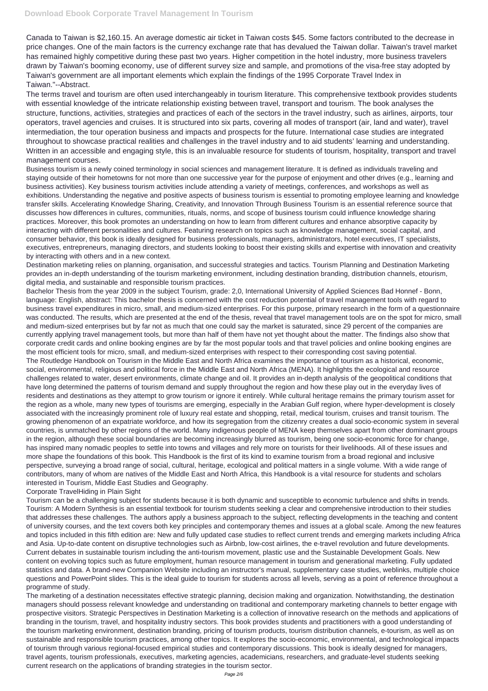Canada to Taiwan is \$2,160.15. An average domestic air ticket in Taiwan costs \$45. Some factors contributed to the decrease in price changes. One of the main factors is the currency exchange rate that has devalued the Taiwan dollar. Taiwan's travel market has remained highly competitive during these past two years. Higher competition in the hotel industry, more business travelers drawn by Taiwan's booming economy, use of different survey size and sample, and promotions of the visa-free stay adopted by Taiwan's government are all important elements which explain the findings of the 1995 Corporate Travel Index in Taiwan."--Abstract.

The terms travel and tourism are often used interchangeably in tourism literature. This comprehensive textbook provides students with essential knowledge of the intricate relationship existing between travel, transport and tourism. The book analyses the structure, functions, activities, strategies and practices of each of the sectors in the travel industry, such as airlines, airports, tour operators, travel agencies and cruises. It is structured into six parts, covering all modes of transport (air, land and water), travel intermediation, the tour operation business and impacts and prospects for the future. International case studies are integrated throughout to showcase practical realities and challenges in the travel industry and to aid students' learning and understanding. Written in an accessible and engaging style, this is an invaluable resource for students of tourism, hospitality, transport and travel management courses.

Business tourism is a newly coined terminology in social sciences and management literature. It is defined as individuals traveling and staying outside of their hometowns for not more than one successive year for the purpose of enjoyment and other drives (e.g., learning and business activities). Key business tourism activities include attending a variety of meetings, conferences, and workshops as well as exhibitions. Understanding the negative and positive aspects of business tourism is essential to promoting employee learning and knowledge transfer skills. Accelerating Knowledge Sharing, Creativity, and Innovation Through Business Tourism is an essential reference source that discusses how differences in cultures, communities, rituals, norms, and scope of business tourism could influence knowledge sharing practices. Moreover, this book promotes an understanding on how to learn from different cultures and enhance absorptive capacity by interacting with different personalities and cultures. Featuring research on topics such as knowledge management, social capital, and consumer behavior, this book is ideally designed for business professionals, managers, administrators, hotel executives, IT specialists, executives, entrepreneurs, managing directors, and students looking to boost their existing skills and expertise with innovation and creativity by interacting with others and in a new context.

Destination marketing relies on planning, organisation, and successful strategies and tactics. Tourism Planning and Destination Marketing provides an in-depth understanding of the tourism marketing environment, including destination branding, distribution channels, etourism, digital media, and sustainable and responsible tourism practices.

Bachelor Thesis from the year 2009 in the subject Tourism, grade: 2,0, International University of Applied Sciences Bad Honnef - Bonn, language: English, abstract: This bachelor thesis is concerned with the cost reduction potential of travel management tools with regard to business travel expenditures in micro, small, and medium-sized enterprises. For this purpose, primary research in the form of a questionnaire was conducted. The results, which are presented at the end of the thesis, reveal that travel management tools are on the spot for micro, small and medium-sized enterprises but by far not as much that one could say the market is saturated, since 29 percent of the companies are currently applying travel management tools, but more than half of them have not yet thought about the matter. The findings also show that corporate credit cards and online booking engines are by far the most popular tools and that travel policies and online booking engines are the most efficient tools for micro, small, and medium-sized enterprises with respect to their corresponding cost saving potential. The Routledge Handbook on Tourism in the Middle East and North Africa examines the importance of tourism as a historical, economic, social, environmental, religious and political force in the Middle East and North Africa (MENA). It highlights the ecological and resource challenges related to water, desert environments, climate change and oil. It provides an in-depth analysis of the geopolitical conditions that have long determined the patterns of tourism demand and supply throughout the region and how these play out in the everyday lives of residents and destinations as they attempt to grow tourism or ignore it entirely. While cultural heritage remains the primary tourism asset for the region as a whole, many new types of tourisms are emerging, especially in the Arabian Gulf region, where hyper-development is closely associated with the increasingly prominent role of luxury real estate and shopping, retail, medical tourism, cruises and transit tourism. The growing phenomenon of an expatriate workforce, and how its segregation from the citizenry creates a dual socio-economic system in several countries, is unmatched by other regions of the world. Many indigenous people of MENA keep themselves apart from other dominant groups in the region, although these social boundaries are becoming increasingly blurred as tourism, being one socio-economic force for change, has inspired many nomadic peoples to settle into towns and villages and rely more on tourists for their livelihoods. All of these issues and more shape the foundations of this book. This Handbook is the first of its kind to examine tourism from a broad regional and inclusive perspective, surveying a broad range of social, cultural, heritage, ecological and political matters in a single volume. With a wide range of contributors, many of whom are natives of the Middle East and North Africa, this Handbook is a vital resource for students and scholars interested in Tourism, Middle East Studies and Geography.

#### Corporate TravelHiding in Plain Sight

Tourism can be a challenging subject for students because it is both dynamic and susceptible to economic turbulence and shifts in trends. Tourism: A Modern Synthesis is an essential textbook for tourism students seeking a clear and comprehensive introduction to their studies that addresses these challenges. The authors apply a business approach to the subject, reflecting developments in the teaching and content

of university courses, and the text covers both key principles and contemporary themes and issues at a global scale. Among the new features and topics included in this fifth edition are: New and fully updated case studies to reflect current trends and emerging markets including Africa and Asia. Up-to-date content on disruptive technologies such as Airbnb, low-cost airlines, the e-travel revolution and future developments. Current debates in sustainable tourism including the anti-tourism movement, plastic use and the Sustainable Development Goals. New content on evolving topics such as future employment, human resource management in tourism and generational marketing. Fully updated statistics and data. A brand-new Companion Website including an instructor's manual, supplementary case studies, weblinks, multiple choice questions and PowerPoint slides. This is the ideal guide to tourism for students across all levels, serving as a point of reference throughout a programme of study.

The marketing of a destination necessitates effective strategic planning, decision making and organization. Notwithstanding, the destination managers should possess relevant knowledge and understanding on traditional and contemporary marketing channels to better engage with prospective visitors. Strategic Perspectives in Destination Marketing is a collection of innovative research on the methods and applications of branding in the tourism, travel, and hospitality industry sectors. This book provides students and practitioners with a good understanding of the tourism marketing environment, destination branding, pricing of tourism products, tourism distribution channels, e-tourism, as well as on sustainable and responsible tourism practices, among other topics. It explores the socio-economic, environmental, and technological impacts of tourism through various regional-focused empirical studies and contemporary discussions. This book is ideally designed for managers, travel agents, tourism professionals, executives, marketing agencies, academicians, researchers, and graduate-level students seeking current research on the applications of branding strategies in the tourism sector.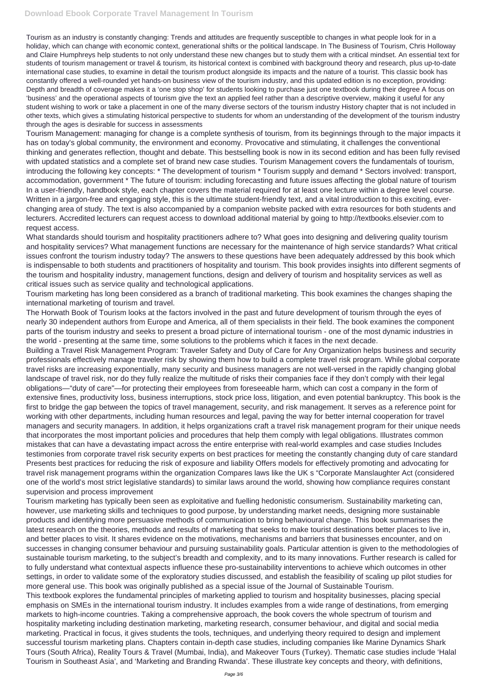Tourism as an industry is constantly changing: Trends and attitudes are frequently susceptible to changes in what people look for in a holiday, which can change with economic context, generational shifts or the political landscape. In The Business of Tourism, Chris Holloway and Claire Humphreys help students to not only understand these new changes but to study them with a critical mindset. An essential text for students of tourism management or travel & tourism, its historical context is combined with background theory and research, plus up-to-date international case studies, to examine in detail the tourism product alongside its impacts and the nature of a tourist. This classic book has constantly offered a well-rounded yet hands-on business view of the tourism industry, and this updated edition is no exception, providing: Depth and breadth of coverage makes it a 'one stop shop' for students looking to purchase just one textbook during their degree A focus on 'business' and the operational aspects of tourism give the text an applied feel rather than a descriptive overview, making it useful for any student wishing to work or take a placement in one of the many diverse sectors of the tourism industry History chapter that is not included in other texts, which gives a stimulating historical perspective to students for whom an understanding of the development of the tourism industry through the ages is desirable for success in assessments

What standards should tourism and hospitality practitioners adhere to? What goes into designing and delivering quality tourism and hospitality services? What management functions are necessary for the maintenance of high service standards? What critical issues confront the tourism industry today? The answers to these questions have been adequately addressed by this book which is indispensable to both students and practitioners of hospitality and tourism. This book provides insights into different segments of the tourism and hospitality industry, management functions, design and delivery of tourism and hospitality services as well as critical issues such as service quality and technological applications.

Tourism Management: managing for change is a complete synthesis of tourism, from its beginnings through to the major impacts it has on today's global community, the environment and economy. Provocative and stimulating, it challenges the conventional thinking and generates reflection, thought and debate. This bestselling book is now in its second edition and has been fully revised with updated statistics and a complete set of brand new case studies. Tourism Management covers the fundamentals of tourism, introducing the following key concepts: \* The development of tourism \* Tourism supply and demand \* Sectors involved: transport, accommodation, government \* The future of tourism: including forecasting and future issues affecting the global nature of tourism In a user-friendly, handbook style, each chapter covers the material required for at least one lecture within a degree level course. Written in a jargon-free and engaging style, this is the ultimate student-friendly text, and a vital introduction to this exciting, everchanging area of study. The text is also accompanied by a companion website packed with extra resources for both students and lecturers. Accredited lecturers can request access to download additional material by going to http://textbooks.elsevier.com to request access.

Tourism marketing has long been considered as a branch of traditional marketing. This book examines the changes shaping the international marketing of tourism and travel.

The Horwath Book of Tourism looks at the factors involved in the past and future development of tourism through the eyes of nearly 30 independent authors from Europe and America, all of them specialists in their field. The book examines the component parts of the tourism industry and seeks to present a broad picture of international tourism - one of the most dynamic industries in the world - presenting at the same time, some solutions to the problems which it faces in the next decade.

Building a Travel Risk Management Program: Traveler Safety and Duty of Care for Any Organization helps business and security professionals effectively manage traveler risk by showing them how to build a complete travel risk program. While global corporate travel risks are increasing exponentially, many security and business managers are not well-versed in the rapidly changing global landscape of travel risk, nor do they fully realize the multitude of risks their companies face if they don't comply with their legal obligations—"duty of care"—for protecting their employees from foreseeable harm, which can cost a company in the form of extensive fines, productivity loss, business interruptions, stock price loss, litigation, and even potential bankruptcy. This book is the first to bridge the gap between the topics of travel management, security, and risk management. It serves as a reference point for working with other departments, including human resources and legal, paving the way for better internal cooperation for travel managers and security managers. In addition, it helps organizations craft a travel risk management program for their unique needs that incorporates the most important policies and procedures that help them comply with legal obligations. Illustrates common mistakes that can have a devastating impact across the entire enterprise with real-world examples and case studies Includes testimonies from corporate travel risk security experts on best practices for meeting the constantly changing duty of care standard Presents best practices for reducing the risk of exposure and liability Offers models for effectively promoting and advocating for travel risk management programs within the organization Compares laws like the UK s "Corporate Manslaughter Act (considered one of the world's most strict legislative standards) to similar laws around the world, showing how compliance requires constant supervision and process improvement

Tourism marketing has typically been seen as exploitative and fuelling hedonistic consumerism. Sustainability marketing can, however, use marketing skills and techniques to good purpose, by understanding market needs, designing more sustainable products and identifying more persuasive methods of communication to bring behavioural change. This book summarises the latest research on the theories, methods and results of marketing that seeks to make tourist destinations better places to live in, and better places to visit. It shares evidence on the motivations, mechanisms and barriers that businesses encounter, and on successes in changing consumer behaviour and pursuing sustainability goals. Particular attention is given to the methodologies of sustainable tourism marketing, to the subject's breadth and complexity, and to its many innovations. Further research is called for to fully understand what contextual aspects influence these pro-sustainability interventions to achieve which outcomes in other settings, in order to validate some of the exploratory studies discussed, and establish the feasibility of scaling up pilot studies for more general use. This book was originally published as a special issue of the Journal of Sustainable Tourism. This textbook explores the fundamental principles of marketing applied to tourism and hospitality businesses, placing special emphasis on SMEs in the international tourism industry. It includes examples from a wide range of destinations, from emerging markets to high-income countries. Taking a comprehensive approach, the book covers the whole spectrum of tourism and hospitality marketing including destination marketing, marketing research, consumer behaviour, and digital and social media marketing. Practical in focus, it gives students the tools, techniques, and underlying theory required to design and implement successful tourism marketing plans. Chapters contain in-depth case studies, including companies like Marine Dynamics Shark Tours (South Africa), Reality Tours & Travel (Mumbai, India), and Makeover Tours (Turkey). Thematic case studies include 'Halal Tourism in Southeast Asia', and 'Marketing and Branding Rwanda'. These illustrate key concepts and theory, with definitions,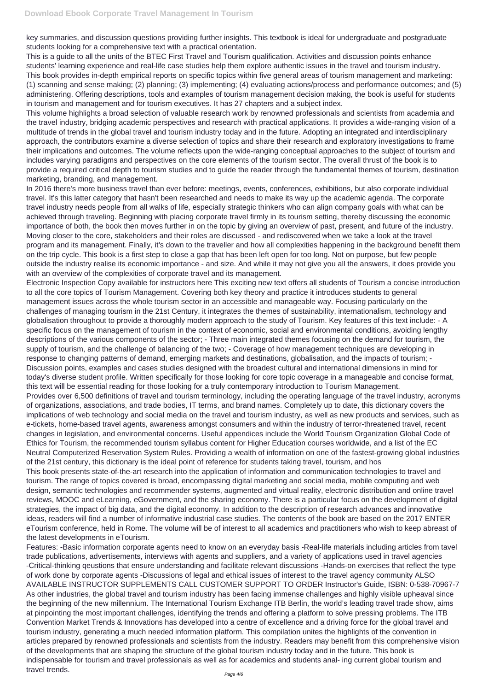key summaries, and discussion questions providing further insights. This textbook is ideal for undergraduate and postgraduate students looking for a comprehensive text with a practical orientation.

This is a guide to all the units of the BTEC First Travel and Tourism qualification. Activities and discussion points enhance students' learning experience and real-life case studies help them explore authentic issues in the travel and tourism industry. This book provides in-depth empirical reports on specific topics within five general areas of tourism management and marketing: (1) scanning and sense making; (2) planning; (3) implementing; (4) evaluating actions/process and performance outcomes; and (5) administering. Offering descriptions, tools and examples of tourism management decision making, the book is useful for students in tourism and management and for tourism executives. It has 27 chapters and a subject index.

This volume highlights a broad selection of valuable research work by renowned professionals and scientists from academia and the travel industry, bridging academic perspectives and research with practical applications. It provides a wide-ranging vision of a multitude of trends in the global travel and tourism industry today and in the future. Adopting an integrated and interdisciplinary approach, the contributors examine a diverse selection of topics and share their research and exploratory investigations to frame their implications and outcomes. The volume reflects upon the wide-ranging conceptual approaches to the subject of tourism and includes varying paradigms and perspectives on the core elements of the tourism sector. The overall thrust of the book is to provide a required critical depth to tourism studies and to guide the reader through the fundamental themes of tourism, destination marketing, branding, and management.

In 2016 there's more business travel than ever before: meetings, events, conferences, exhibitions, but also corporate individual travel. It's this latter category that hasn't been researched and needs to make its way up the academic agenda. The corporate travel industry needs people from all walks of life, especially strategic thinkers who can align company goals with what can be achieved through traveling. Beginning with placing corporate travel firmly in its tourism setting, thereby discussing the economic importance of both, the book then moves further in on the topic by giving an overview of past, present, and future of the industry. Moving closer to the core, stakeholders and their roles are discussed - and rediscovered when we take a look at the travel program and its management. Finally, it's down to the traveller and how all complexities happening in the background benefit them on the trip cycle. This book is a first step to close a gap that has been left open for too long. Not on purpose, but few people outside the industry realise its economic importance - and size. And while it may not give you all the answers, it does provide you with an overview of the complexities of corporate travel and its management.

Electronic Inspection Copy available for instructors here This exciting new text offers all students of Tourism a concise introduction to all the core topics of Tourism Management. Covering both key theory and practice it introduces students to general management issues across the whole tourism sector in an accessible and manageable way. Focusing particularly on the challenges of managing tourism in the 21st Century, it integrates the themes of sustainability, internationalism, technology and globalisation throughout to provide a thoroughly modern approach to the study of Tourism. Key features of this text include: - A specific focus on the management of tourism in the context of economic, social and environmental conditions, avoiding lengthy descriptions of the various components of the sector; - Three main integrated themes focusing on the demand for tourism, the supply of tourism, and the challenge of balancing of the two; - Coverage of how management techniques are developing in response to changing patterns of demand, emerging markets and destinations, globalisation, and the impacts of tourism; - Discussion points, examples and cases studies designed with the broadest cultural and international dimensions in mind for today's diverse student profile. Written specifically for those looking for core topic coverage in a manageable and concise format, this text will be essential reading for those looking for a truly contemporary introduction to Tourism Management. Provides over 6,500 definitions of travel and tourism terminology, including the operating language of the travel industry, acronyms of organizations, associations, and trade bodies, IT terms, and brand names. Completely up to date, this dictionary covers the implications of web technology and social media on the travel and tourism industry, as well as new products and services, such as e-tickets, home-based travel agents, awareness amongst consumers and within the industry of terror-threatened travel, recent changes in legislation, and environmental concerns. Useful appendices include the World Tourism Organization Global Code of Ethics for Tourism, the recommended tourism syllabus content for Higher Education courses worldwide, and a list of the EC Neutral Computerized Reservation System Rules. Providing a wealth of information on one of the fastest-growing global industries of the 21st century, this dictionary is the ideal point of reference for students taking travel, tourism, and hos This book presents state-of-the-art research into the application of information and communication technologies to travel and tourism. The range of topics covered is broad, encompassing digital marketing and social media, mobile computing and web design, semantic technologies and recommender systems, augmented and virtual reality, electronic distribution and online travel reviews, MOOC and eLearning, eGovernment, and the sharing economy. There is a particular focus on the development of digital strategies, the impact of big data, and the digital economy. In addition to the description of research advances and innovative ideas, readers will find a number of informative industrial case studies. The contents of the book are based on the 2017 ENTER eTourism conference, held in Rome. The volume will be of interest to all academics and practitioners who wish to keep abreast of the latest developments in eTourism. Features: -Basic information corporate agents need to know on an everyday basis -Real-life materials including articles from tavel trade publications, advertisements, interviews with agents and suppliers, and a variety of applications used in travel agencies -Critical-thinking qeustions that ensure understanding and facilitate relevant discussions -Hands-on exercises that reflect the type of work done by corporate agents -Discussions of legal and ethical issues of interest to the travel agency community ALSO AVAILABLE INSTRUCTOR SUPPLEMENTS CALL CUSTOMER SUPPORT TO ORDER Instructor's Guide, ISBN: 0-538-70967-7 As other industries, the global travel and tourism industry has been facing immense challenges and highly visible upheaval since the beginning of the new millennium. The International Tourism Exchange ITB Berlin, the world's leading travel trade show, aims at pinpointing the most important challenges, identifying the trends and offering a platform to solve pressing problems. The ITB Convention Market Trends & Innovations has developed into a centre of excellence and a driving force for the global travel and tourism industry, generating a much needed information platform. This compilation unites the highlights of the convention in articles prepared by renowned professionals and scientists from the industry. Readers may benefit from this comprehensive vision of the developments that are shaping the structure of the global tourism industry today and in the future. This book is indispensable for tourism and travel professionals as well as for academics and students anal- ing current global tourism and travel trends.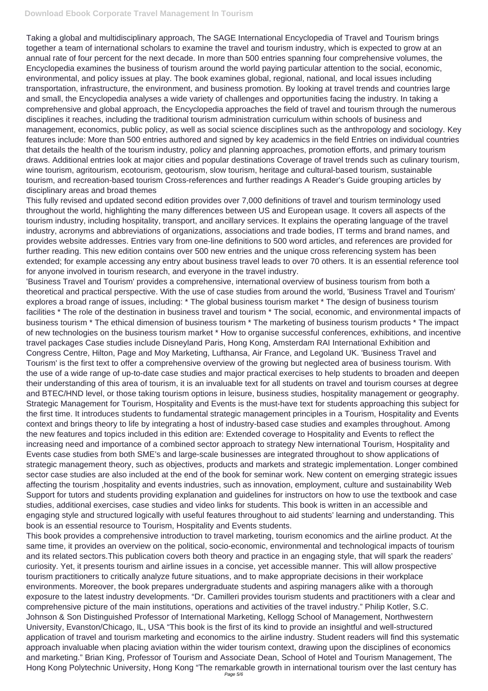## **Download Ebook Corporate Travel Management In Tourism**

Taking a global and multidisciplinary approach, The SAGE International Encyclopedia of Travel and Tourism brings together a team of international scholars to examine the travel and tourism industry, which is expected to grow at an annual rate of four percent for the next decade. In more than 500 entries spanning four comprehensive volumes, the Encyclopedia examines the business of tourism around the world paying particular attention to the social, economic, environmental, and policy issues at play. The book examines global, regional, national, and local issues including transportation, infrastructure, the environment, and business promotion. By looking at travel trends and countries large and small, the Encyclopedia analyses a wide variety of challenges and opportunities facing the industry. In taking a comprehensive and global approach, the Encyclopedia approaches the field of travel and tourism through the numerous disciplines it reaches, including the traditional tourism administration curriculum within schools of business and management, economics, public policy, as well as social science disciplines such as the anthropology and sociology. Key features include: More than 500 entries authored and signed by key academics in the field Entries on individual countries that details the health of the tourism industry, policy and planning approaches, promotion efforts, and primary tourism draws. Additional entries look at major cities and popular destinations Coverage of travel trends such as culinary tourism, wine tourism, agritourism, ecotourism, geotourism, slow tourism, heritage and cultural-based tourism, sustainable tourism, and recreation-based tourism Cross-references and further readings A Reader's Guide grouping articles by disciplinary areas and broad themes

This fully revised and updated second edition provides over 7,000 definitions of travel and tourism terminology used throughout the world, highlighting the many differences between US and European usage. It covers all aspects of the tourism industry, including hospitality, transport, and ancillary services. It explains the operating language of the travel industry, acronyms and abbreviations of organizations, associations and trade bodies, IT terms and brand names, and provides website addresses. Entries vary from one-line definitions to 500 word articles, and references are provided for further reading. This new edition contains over 500 new entries and the unique cross referencing system has been extended; for example accessing any entry about business travel leads to over 70 others. It is an essential reference tool for anyone involved in tourism research, and everyone in the travel industry.

'Business Travel and Tourism' provides a comprehensive, international overview of business tourism from both a theoretical and practical perspective. With the use of case studies from around the world, 'Business Travel and Tourism' explores a broad range of issues, including: \* The global business tourism market \* The design of business tourism facilities \* The role of the destination in business travel and tourism \* The social, economic, and environmental impacts of business tourism \* The ethical dimension of business tourism \* The marketing of business tourism products \* The impact of new technologies on the business tourism market \* How to organise successful conferences, exhibitions, and incentive travel packages Case studies include Disneyland Paris, Hong Kong, Amsterdam RAI International Exhibition and Congress Centre, Hilton, Page and Moy Marketing, Lufthansa, Air France, and Legoland UK. 'Business Travel and Tourism' is the first text to offer a comprehensive overview of the growing but neglected area of business tourism. With the use of a wide range of up-to-date case studies and major practical exercises to help students to broaden and deepen their understanding of this area of tourism, it is an invaluable text for all students on travel and tourism courses at degree and BTEC/HND level, or those taking tourism options in leisure, business studies, hospitality management or geography. Strategic Management for Tourism, Hospitality and Events is the must-have text for students approaching this subject for the first time. It introduces students to fundamental strategic management principles in a Tourism, Hospitality and Events context and brings theory to life by integrating a host of industry-based case studies and examples throughout. Among the new features and topics included in this edition are: Extended coverage to Hospitality and Events to reflect the increasing need and importance of a combined sector approach to strategy New international Tourism, Hospitality and Events case studies from both SME's and large-scale businesses are integrated throughout to show applications of strategic management theory, such as objectives, products and markets and strategic implementation. Longer combined sector case studies are also included at the end of the book for seminar work. New content on emerging strategic issues affecting the tourism ,hospitality and events industries, such as innovation, employment, culture and sustainability Web Support for tutors and students providing explanation and guidelines for instructors on how to use the textbook and case studies, additional exercises, case studies and video links for students. This book is written in an accessible and engaging style and structured logically with useful features throughout to aid students' learning and understanding. This

#### book is an essential resource to Tourism, Hospitality and Events students.

This book provides a comprehensive introduction to travel marketing, tourism economics and the airline product. At the same time, it provides an overview on the political, socio-economic, environmental and technological impacts of tourism and its related sectors.This publication covers both theory and practice in an engaging style, that will spark the readers' curiosity. Yet, it presents tourism and airline issues in a concise, yet accessible manner. This will allow prospective tourism practitioners to critically analyze future situations, and to make appropriate decisions in their workplace environments. Moreover, the book prepares undergraduate students and aspiring managers alike with a thorough exposure to the latest industry developments. "Dr. Camilleri provides tourism students and practitioners with a clear and comprehensive picture of the main institutions, operations and activities of the travel industry." Philip Kotler, S.C. Johnson & Son Distinguished Professor of International Marketing, Kellogg School of Management, Northwestern University, Evanston/Chicago, IL, USA "This book is the first of its kind to provide an insightful and well-structured application of travel and tourism marketing and economics to the airline industry. Student readers will find this systematic approach invaluable when placing aviation within the wider tourism context, drawing upon the disciplines of economics and marketing." Brian King, Professor of Tourism and Associate Dean, School of Hotel and Tourism Management, The Hong Kong Polytechnic University, Hong Kong "The remarkable growth in international tourism over the last century has Page 5/6